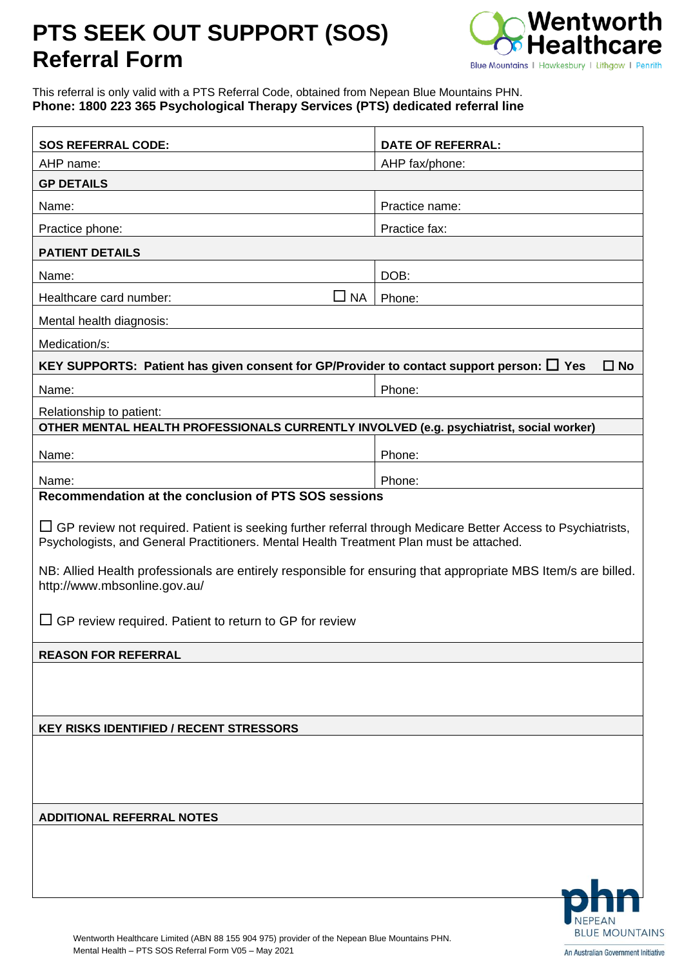## **PTS SEEK OUT SUPPORT (SOS) Referral Form**



This referral is only valid with a PTS Referral Code, obtained from Nepean Blue Mountains PHN. **Phone: 1800 223 365 Psychological Therapy Services (PTS) dedicated referral line**

| <b>SOS REFERRAL CODE:</b>                                                                                                                                                                                                                                                                                  |           | <b>DATE OF REFERRAL:</b> |  |  |
|------------------------------------------------------------------------------------------------------------------------------------------------------------------------------------------------------------------------------------------------------------------------------------------------------------|-----------|--------------------------|--|--|
| AHP name:                                                                                                                                                                                                                                                                                                  |           | AHP fax/phone:           |  |  |
| <b>GP DETAILS</b>                                                                                                                                                                                                                                                                                          |           |                          |  |  |
| Name:                                                                                                                                                                                                                                                                                                      |           | Practice name:           |  |  |
| Practice phone:                                                                                                                                                                                                                                                                                            |           | Practice fax:            |  |  |
| <b>PATIENT DETAILS</b>                                                                                                                                                                                                                                                                                     |           |                          |  |  |
| Name:                                                                                                                                                                                                                                                                                                      |           | DOB:                     |  |  |
| Healthcare card number:                                                                                                                                                                                                                                                                                    | <b>NA</b> | Phone:                   |  |  |
| Mental health diagnosis:                                                                                                                                                                                                                                                                                   |           |                          |  |  |
| Medication/s:                                                                                                                                                                                                                                                                                              |           |                          |  |  |
| KEY SUPPORTS: Patient has given consent for GP/Provider to contact support person: $\square$ Yes                                                                                                                                                                                                           |           | $\square$ No             |  |  |
| Name:                                                                                                                                                                                                                                                                                                      |           | Phone:                   |  |  |
| Relationship to patient:                                                                                                                                                                                                                                                                                   |           |                          |  |  |
| OTHER MENTAL HEALTH PROFESSIONALS CURRENTLY INVOLVED (e.g. psychiatrist, social worker)                                                                                                                                                                                                                    |           |                          |  |  |
| Name:                                                                                                                                                                                                                                                                                                      |           | Phone:                   |  |  |
| Name:                                                                                                                                                                                                                                                                                                      |           | Phone:                   |  |  |
| Recommendation at the conclusion of PTS SOS sessions                                                                                                                                                                                                                                                       |           |                          |  |  |
| Psychologists, and General Practitioners. Mental Health Treatment Plan must be attached.<br>NB: Allied Health professionals are entirely responsible for ensuring that appropriate MBS Item/s are billed.<br>http://www.mbsonline.gov.au/<br>$\Box$ GP review required. Patient to return to GP for review |           |                          |  |  |
| <b>REASON FOR REFERRAL</b>                                                                                                                                                                                                                                                                                 |           |                          |  |  |
|                                                                                                                                                                                                                                                                                                            |           |                          |  |  |
| <b>KEY RISKS IDENTIFIED / RECENT STRESSORS</b>                                                                                                                                                                                                                                                             |           |                          |  |  |
|                                                                                                                                                                                                                                                                                                            |           |                          |  |  |
| <b>ADDITIONAL REFERRAL NOTES</b>                                                                                                                                                                                                                                                                           |           |                          |  |  |
|                                                                                                                                                                                                                                                                                                            |           |                          |  |  |
|                                                                                                                                                                                                                                                                                                            |           |                          |  |  |
|                                                                                                                                                                                                                                                                                                            |           | <b>BLUE MOUNTAINS</b>    |  |  |